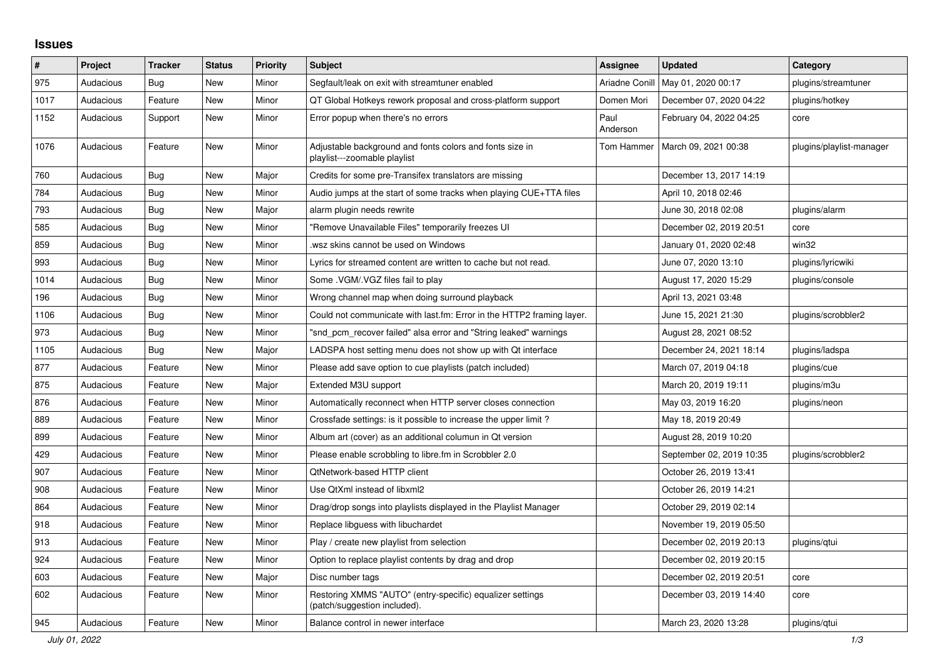## **Issues**

| $\pmb{\sharp}$ | Project   | <b>Tracker</b> | <b>Status</b> | <b>Priority</b> | <b>Subject</b>                                                                            | <b>Assignee</b>  | <b>Updated</b>           | Category                 |
|----------------|-----------|----------------|---------------|-----------------|-------------------------------------------------------------------------------------------|------------------|--------------------------|--------------------------|
| 975            | Audacious | Bug            | New           | Minor           | Segfault/leak on exit with streamtuner enabled                                            | Ariadne Conill   | May 01, 2020 00:17       | plugins/streamtuner      |
| 1017           | Audacious | Feature        | New           | Minor           | QT Global Hotkeys rework proposal and cross-platform support                              | Domen Mori       | December 07, 2020 04:22  | plugins/hotkey           |
| 1152           | Audacious | Support        | <b>New</b>    | Minor           | Error popup when there's no errors                                                        | Paul<br>Anderson | February 04, 2022 04:25  | core                     |
| 1076           | Audacious | Feature        | New           | Minor           | Adjustable background and fonts colors and fonts size in<br>playlist---zoomable playlist  | Tom Hammer       | March 09, 2021 00:38     | plugins/playlist-manager |
| 760            | Audacious | <b>Bug</b>     | New           | Major           | Credits for some pre-Transifex translators are missing                                    |                  | December 13, 2017 14:19  |                          |
| 784            | Audacious | Bug            | New           | Minor           | Audio jumps at the start of some tracks when playing CUE+TTA files                        |                  | April 10, 2018 02:46     |                          |
| 793            | Audacious | Bug            | <b>New</b>    | Major           | alarm plugin needs rewrite                                                                |                  | June 30, 2018 02:08      | plugins/alarm            |
| 585            | Audacious | Bug            | New           | Minor           | "Remove Unavailable Files" temporarily freezes UI                                         |                  | December 02, 2019 20:51  | core                     |
| 859            | Audacious | <b>Bug</b>     | <b>New</b>    | Minor           | wsz skins cannot be used on Windows.                                                      |                  | January 01, 2020 02:48   | win32                    |
| 993            | Audacious | Bug            | New           | Minor           | Lyrics for streamed content are written to cache but not read.                            |                  | June 07, 2020 13:10      | plugins/lyricwiki        |
| 1014           | Audacious | <b>Bug</b>     | <b>New</b>    | Minor           | Some .VGM/.VGZ files fail to play                                                         |                  | August 17, 2020 15:29    | plugins/console          |
| 196            | Audacious | <b>Bug</b>     | New           | Minor           | Wrong channel map when doing surround playback                                            |                  | April 13, 2021 03:48     |                          |
| 1106           | Audacious | Bug            | New           | Minor           | Could not communicate with last.fm: Error in the HTTP2 framing layer.                     |                  | June 15, 2021 21:30      | plugins/scrobbler2       |
| 973            | Audacious | Bug            | New           | Minor           | "snd pcm recover failed" alsa error and "String leaked" warnings                          |                  | August 28, 2021 08:52    |                          |
| 1105           | Audacious | <b>Bug</b>     | New           | Major           | LADSPA host setting menu does not show up with Qt interface                               |                  | December 24, 2021 18:14  | plugins/ladspa           |
| 877            | Audacious | Feature        | New           | Minor           | Please add save option to cue playlists (patch included)                                  |                  | March 07, 2019 04:18     | plugins/cue              |
| 875            | Audacious | Feature        | New           | Major           | Extended M3U support                                                                      |                  | March 20, 2019 19:11     | plugins/m3u              |
| 876            | Audacious | Feature        | <b>New</b>    | Minor           | Automatically reconnect when HTTP server closes connection                                |                  | May 03, 2019 16:20       | plugins/neon             |
| 889            | Audacious | Feature        | New           | Minor           | Crossfade settings: is it possible to increase the upper limit?                           |                  | May 18, 2019 20:49       |                          |
| 899            | Audacious | Feature        | New           | Minor           | Album art (cover) as an additional columun in Qt version                                  |                  | August 28, 2019 10:20    |                          |
| 429            | Audacious | Feature        | <b>New</b>    | Minor           | Please enable scrobbling to libre.fm in Scrobbler 2.0                                     |                  | September 02, 2019 10:35 | plugins/scrobbler2       |
| 907            | Audacious | Feature        | New           | Minor           | QtNetwork-based HTTP client                                                               |                  | October 26, 2019 13:41   |                          |
| 908            | Audacious | Feature        | New           | Minor           | Use QtXml instead of libxml2                                                              |                  | October 26, 2019 14:21   |                          |
| 864            | Audacious | Feature        | New           | Minor           | Drag/drop songs into playlists displayed in the Playlist Manager                          |                  | October 29, 2019 02:14   |                          |
| 918            | Audacious | Feature        | <b>New</b>    | Minor           | Replace libguess with libuchardet                                                         |                  | November 19, 2019 05:50  |                          |
| 913            | Audacious | Feature        | <b>New</b>    | Minor           | Play / create new playlist from selection                                                 |                  | December 02, 2019 20:13  | plugins/qtui             |
| 924            | Audacious | Feature        | New           | Minor           | Option to replace playlist contents by drag and drop                                      |                  | December 02, 2019 20:15  |                          |
| 603            | Audacious | Feature        | <b>New</b>    | Major           | Disc number tags                                                                          |                  | December 02, 2019 20:51  | core                     |
| 602            | Audacious | Feature        | New           | Minor           | Restoring XMMS "AUTO" (entry-specific) equalizer settings<br>(patch/suggestion included). |                  | December 03, 2019 14:40  | core                     |
| 945            | Audacious | Feature        | <b>New</b>    | Minor           | Balance control in newer interface                                                        |                  | March 23, 2020 13:28     | plugins/qtui             |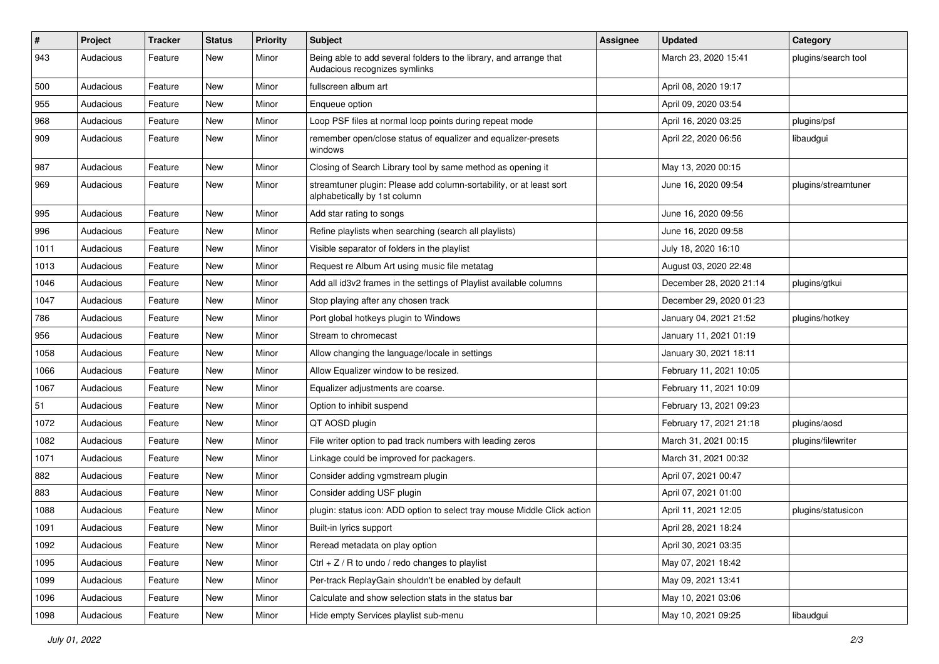| $\#$ | Project   | <b>Tracker</b> | <b>Status</b> | <b>Priority</b> | Subject                                                                                             | <b>Assignee</b> | <b>Updated</b>          | Category            |
|------|-----------|----------------|---------------|-----------------|-----------------------------------------------------------------------------------------------------|-----------------|-------------------------|---------------------|
| 943  | Audacious | Feature        | New           | Minor           | Being able to add several folders to the library, and arrange that<br>Audacious recognizes symlinks |                 | March 23, 2020 15:41    | plugins/search tool |
| 500  | Audacious | Feature        | New           | Minor           | fullscreen album art                                                                                |                 | April 08, 2020 19:17    |                     |
| 955  | Audacious | Feature        | New           | Minor           | Enqueue option                                                                                      |                 | April 09, 2020 03:54    |                     |
| 968  | Audacious | Feature        | New           | Minor           | Loop PSF files at normal loop points during repeat mode                                             |                 | April 16, 2020 03:25    | plugins/psf         |
| 909  | Audacious | Feature        | New           | Minor           | remember open/close status of equalizer and equalizer-presets<br>windows                            |                 | April 22, 2020 06:56    | libaudgui           |
| 987  | Audacious | Feature        | New           | Minor           | Closing of Search Library tool by same method as opening it                                         |                 | May 13, 2020 00:15      |                     |
| 969  | Audacious | Feature        | New           | Minor           | streamtuner plugin: Please add column-sortability, or at least sort<br>alphabetically by 1st column |                 | June 16, 2020 09:54     | plugins/streamtuner |
| 995  | Audacious | Feature        | New           | Minor           | Add star rating to songs                                                                            |                 | June 16, 2020 09:56     |                     |
| 996  | Audacious | Feature        | New           | Minor           | Refine playlists when searching (search all playlists)                                              |                 | June 16, 2020 09:58     |                     |
| 1011 | Audacious | Feature        | New           | Minor           | Visible separator of folders in the playlist                                                        |                 | July 18, 2020 16:10     |                     |
| 1013 | Audacious | Feature        | New           | Minor           | Request re Album Art using music file metatag                                                       |                 | August 03, 2020 22:48   |                     |
| 1046 | Audacious | Feature        | New           | Minor           | Add all id3v2 frames in the settings of Playlist available columns                                  |                 | December 28, 2020 21:14 | plugins/gtkui       |
| 1047 | Audacious | Feature        | New           | Minor           | Stop playing after any chosen track                                                                 |                 | December 29, 2020 01:23 |                     |
| 786  | Audacious | Feature        | New           | Minor           | Port global hotkeys plugin to Windows                                                               |                 | January 04, 2021 21:52  | plugins/hotkey      |
| 956  | Audacious | Feature        | New           | Minor           | Stream to chromecast                                                                                |                 | January 11, 2021 01:19  |                     |
| 1058 | Audacious | Feature        | New           | Minor           | Allow changing the language/locale in settings                                                      |                 | January 30, 2021 18:11  |                     |
| 1066 | Audacious | Feature        | New           | Minor           | Allow Equalizer window to be resized.                                                               |                 | February 11, 2021 10:05 |                     |
| 1067 | Audacious | Feature        | New           | Minor           | Equalizer adjustments are coarse.                                                                   |                 | February 11, 2021 10:09 |                     |
| 51   | Audacious | Feature        | New           | Minor           | Option to inhibit suspend                                                                           |                 | February 13, 2021 09:23 |                     |
| 1072 | Audacious | Feature        | New           | Minor           | QT AOSD plugin                                                                                      |                 | February 17, 2021 21:18 | plugins/aosd        |
| 1082 | Audacious | Feature        | New           | Minor           | File writer option to pad track numbers with leading zeros                                          |                 | March 31, 2021 00:15    | plugins/filewriter  |
| 1071 | Audacious | Feature        | New           | Minor           | Linkage could be improved for packagers.                                                            |                 | March 31, 2021 00:32    |                     |
| 882  | Audacious | Feature        | New           | Minor           | Consider adding vgmstream plugin                                                                    |                 | April 07, 2021 00:47    |                     |
| 883  | Audacious | Feature        | New           | Minor           | Consider adding USF plugin                                                                          |                 | April 07, 2021 01:00    |                     |
| 1088 | Audacious | Feature        | New           | Minor           | plugin: status icon: ADD option to select tray mouse Middle Click action                            |                 | April 11, 2021 12:05    | plugins/statusicon  |
| 1091 | Audacious | Feature        | New           | Minor           | Built-in lyrics support                                                                             |                 | April 28, 2021 18:24    |                     |
| 1092 | Audacious | Feature        | New           | Minor           | Reread metadata on play option                                                                      |                 | April 30, 2021 03:35    |                     |
| 1095 | Audacious | Feature        | New           | Minor           | $Ctrl + Z / R$ to undo / redo changes to playlist                                                   |                 | May 07, 2021 18:42      |                     |
| 1099 | Audacious | Feature        | New           | Minor           | Per-track ReplayGain shouldn't be enabled by default                                                |                 | May 09, 2021 13:41      |                     |
| 1096 | Audacious | Feature        | New           | Minor           | Calculate and show selection stats in the status bar                                                |                 | May 10, 2021 03:06      |                     |
| 1098 | Audacious | Feature        | New           | Minor           | Hide empty Services playlist sub-menu                                                               |                 | May 10, 2021 09:25      | libaudgui           |